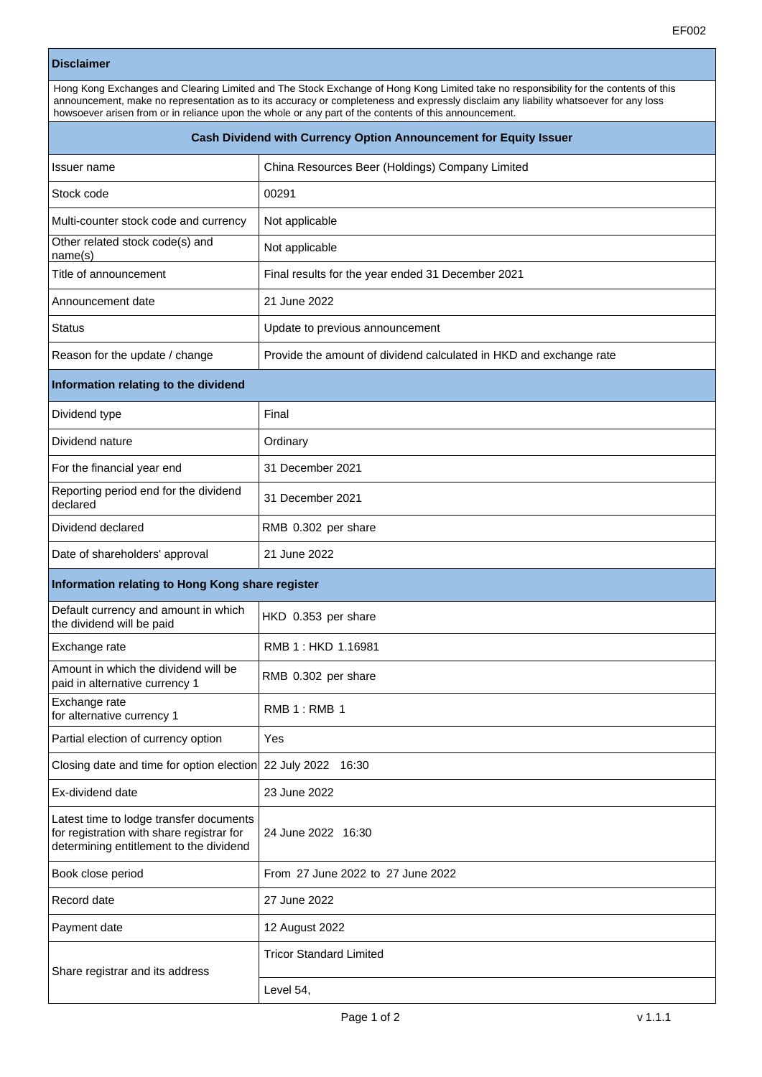## **Disclaimer**

| Hong Kong Exchanges and Clearing Limited and The Stock Exchange of Hong Kong Limited take no responsibility for the contents of this |
|--------------------------------------------------------------------------------------------------------------------------------------|
| announcement, make no representation as to its accuracy or completeness and expressly disclaim any liability whatsoever for any loss |
| howsoever arisen from or in reliance upon the whole or any part of the contents of this announcement.                                |

| Cash Dividend with Currency Option Announcement for Equity Issuer                                                               |                                                                    |  |
|---------------------------------------------------------------------------------------------------------------------------------|--------------------------------------------------------------------|--|
| Issuer name                                                                                                                     | China Resources Beer (Holdings) Company Limited                    |  |
| Stock code                                                                                                                      | 00291                                                              |  |
| Multi-counter stock code and currency                                                                                           | Not applicable                                                     |  |
| Other related stock code(s) and<br>name(s)                                                                                      | Not applicable                                                     |  |
| Title of announcement                                                                                                           | Final results for the year ended 31 December 2021                  |  |
| Announcement date                                                                                                               | 21 June 2022                                                       |  |
| Status                                                                                                                          | Update to previous announcement                                    |  |
| Reason for the update / change                                                                                                  | Provide the amount of dividend calculated in HKD and exchange rate |  |
| Information relating to the dividend                                                                                            |                                                                    |  |
| Dividend type                                                                                                                   | Final                                                              |  |
| Dividend nature                                                                                                                 | Ordinary                                                           |  |
| For the financial year end                                                                                                      | 31 December 2021                                                   |  |
| Reporting period end for the dividend<br>declared                                                                               | 31 December 2021                                                   |  |
| Dividend declared                                                                                                               | RMB 0.302 per share                                                |  |
| Date of shareholders' approval                                                                                                  | 21 June 2022                                                       |  |
| Information relating to Hong Kong share register                                                                                |                                                                    |  |
| Default currency and amount in which<br>the dividend will be paid                                                               | HKD 0.353 per share                                                |  |
| Exchange rate                                                                                                                   | RMB 1: HKD 1.16981                                                 |  |
| Amount in which the dividend will be<br>paid in alternative currency 1                                                          | RMB 0.302 per share                                                |  |
| Exchange rate<br>for alternative currency 1                                                                                     | RMB 1: RMB 1                                                       |  |
| Partial election of currency option                                                                                             | Yes                                                                |  |
| Closing date and time for option election                                                                                       | 22 July 2022 16:30                                                 |  |
| Ex-dividend date                                                                                                                | 23 June 2022                                                       |  |
| Latest time to lodge transfer documents<br>for registration with share registrar for<br>determining entitlement to the dividend | 24 June 2022 16:30                                                 |  |
| Book close period                                                                                                               | From 27 June 2022 to 27 June 2022                                  |  |
| Record date                                                                                                                     | 27 June 2022                                                       |  |
| Payment date                                                                                                                    | 12 August 2022                                                     |  |
| Share registrar and its address                                                                                                 | <b>Tricor Standard Limited</b>                                     |  |
|                                                                                                                                 | Level 54,                                                          |  |